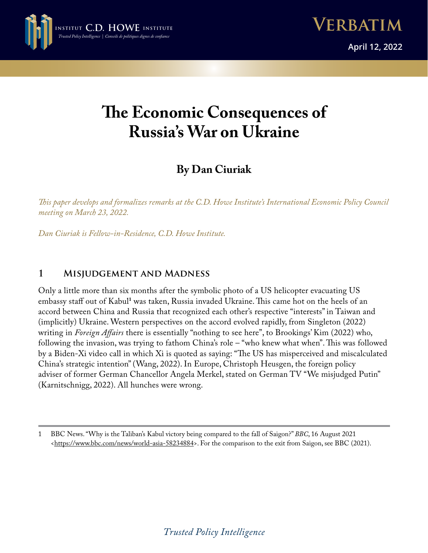

# **The Economic Consequences of Russia's War on Ukraine**

## **By Dan Ciuriak**

*This paper develops and formalizes remarks at the C.D. Howe Institute's International Economic Policy Council meeting on March 23, 2022.*

*Dan Ciuriak is Fellow-in-Residence, C.D. Howe Institute.*

## **1 Misjudgement and Madness**

Only a little more than six months after the symbolic photo of a US helicopter evacuating US embassy staff out of Kabul**<sup>1</sup>** was taken, Russia invaded Ukraine. This came hot on the heels of an accord between China and Russia that recognized each other's respective "interests" in Taiwan and (implicitly) Ukraine. Western perspectives on the accord evolved rapidly, from Singleton (2022) writing in *Foreign Affairs* there is essentially "nothing to see here", to Brookings' Kim (2022) who, following the invasion, was trying to fathom China's role – "who knew what when". This was followed by a Biden-Xi video call in which Xi is quoted as saying: "The US has misperceived and miscalculated China's strategic intention" (Wang, 2022). In Europe, Christoph Heusgen, the foreign policy adviser of former German Chancellor Angela Merkel, stated on German TV "We misjudged Putin" (Karnitschnigg, 2022). All hunches were wrong.

<sup>1</sup> BBC News. "Why is the Taliban's Kabul victory being compared to the fall of Saigon?" *BBC*, 16 August 2021 «<https://www.bbc.com/news/world-asia-58234884>». For the comparison to the exit from Saigon, see BBC (2021).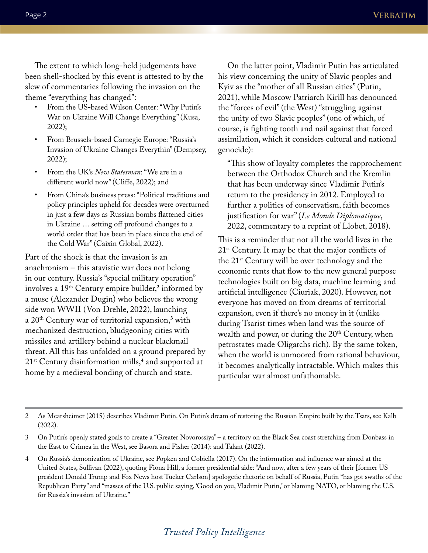The extent to which long-held judgements have been shell-shocked by this event is attested to by the slew of commentaries following the invasion on the theme "everything has changed":

- From the US-based Wilson Center: "Why Putin's War on Ukraine Will Change Everything" (Kusa, 2022);
- From Brussels-based Carnegie Europe: "Russia's Invasion of Ukraine Changes Everythin" (Dempsey, 2022);
- From the UK's *New Statesman*: "We are in a different world now" (Cliffe, 2022); and
- From China's business press: "Political traditions and policy principles upheld for decades were overturned in just a few days as Russian bombs flattened cities in Ukraine … setting off profound changes to a world order that has been in place since the end of the Cold War" (Caixin Global, 2022).

Part of the shock is that the invasion is an anachronism – this atavistic war does not belong in our century. Russia's "special military operation" involves a 19th Century empire builder,**<sup>2</sup>** informed by a muse (Alexander Dugin) who believes the wrong side won WWII (Von Drehle, 2022), launching a 20th Century war of territorial expansion,**<sup>3</sup>** with mechanized destruction, bludgeoning cities with missiles and artillery behind a nuclear blackmail threat. All this has unfolded on a ground prepared by 21st Century disinformation mills,**<sup>4</sup>** and supported at home by a medieval bonding of church and state.

On the latter point, Vladimir Putin has articulated his view concerning the unity of Slavic peoples and Kyiv as the "mother of all Russian cities" (Putin, 2021), while Moscow Patriarch Kirill has denounced the "forces of evil" (the West) "struggling against the unity of two Slavic peoples" (one of which, of course, is fighting tooth and nail against that forced assimilation, which it considers cultural and national genocide):

"This show of loyalty completes the rapprochement between the Orthodox Church and the Kremlin that has been underway since Vladimir Putin's return to the presidency in 2012. Employed to further a politics of conservatism, faith becomes justification for war" (*Le Monde Diplomatique*, 2022, commentary to a reprint of Llobet, 2018).

This is a reminder that not all the world lives in the  $21<sup>st</sup>$  Century. It may be that the major conflicts of the 21st Century will be over technology and the economic rents that flow to the new general purpose technologies built on big data, machine learning and artificial intelligence (Ciuriak, 2020). However, not everyone has moved on from dreams of territorial expansion, even if there's no money in it (unlike during Tsarist times when land was the source of wealth and power, or during the  $20<sup>th</sup>$  Century, when petrostates made Oligarchs rich). By the same token, when the world is unmoored from rational behaviour, it becomes analytically intractable. Which makes this particular war almost unfathomable.

<sup>2</sup> As Mearsheimer (2015) describes Vladimir Putin. On Putin's dream of restoring the Russian Empire built by the Tsars, see Kalb (2022).

<sup>3</sup> On Putin's openly stated goals to create a "Greater Novorossiya" – a territory on the Black Sea coast stretching from Donbass in the East to Crimea in the West, see Basora and Fisher (2014): and Talant (2022).

<sup>4</sup> On Russia's demonization of Ukraine, see Popken and Cobiella (2017). On the information and influence war aimed at the United States, Sullivan (2022), quoting Fiona Hill, a former presidential aide: "And now, after a few years of their [former US president Donald Trump and Fox News host Tucker Carlson] apologetic rhetoric on behalf of Russia, Putin "has got swaths of the Republican Party" and "masses of the U.S. public saying, 'Good on you, Vladimir Putin,' or blaming NATO, or blaming the U.S. for Russia's invasion of Ukraine."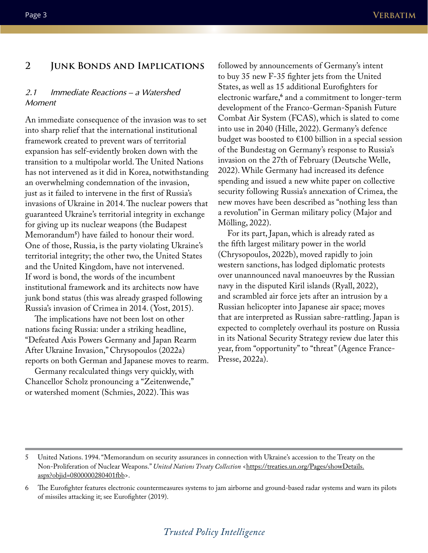#### **2 Junk Bonds and Implications**

#### *2.1 Immediate Reactions – a Watershed Moment*

An immediate consequence of the invasion was to set into sharp relief that the international institutional framework created to prevent wars of territorial expansion has self-evidently broken down with the transition to a multipolar world. The United Nations has not intervened as it did in Korea, notwithstanding an overwhelming condemnation of the invasion, just as it failed to intervene in the first of Russia's invasions of Ukraine in 2014. The nuclear powers that guaranteed Ukraine's territorial integrity in exchange for giving up its nuclear weapons (the Budapest Memorandum**<sup>5</sup>** ) have failed to honour their word. One of those, Russia, is the party violating Ukraine's territorial integrity; the other two, the United States and the United Kingdom, have not intervened. If word is bond, the words of the incumbent institutional framework and its architects now have junk bond status (this was already grasped following Russia's invasion of Crimea in 2014. (Yost, 2015).

The implications have not been lost on other nations facing Russia: under a striking headline, "Defeated Axis Powers Germany and Japan Rearm After Ukraine Invasion," Chrysopoulos (2022a) reports on both German and Japanese moves to rearm.

Germany recalculated things very quickly, with Chancellor Scholz pronouncing a "Zeitenwende," or watershed moment (Schmies, 2022). This was

followed by announcements of Germany's intent to buy 35 new F-35 fighter jets from the United States, as well as 15 additional Eurofighters for electronic warfare,**<sup>6</sup>** and a commitment to longer-term development of the Franco-German-Spanish Future Combat Air System (FCAS), which is slated to come into use in 2040 (Hille, 2022). Germany's defence budget was boosted to €100 billion in a special session of the Bundestag on Germany's response to Russia's invasion on the 27th of February (Deutsche Welle, 2022). While Germany had increased its defence spending and issued a new white paper on collective security following Russia's annexation of Crimea, the new moves have been described as "nothing less than a revolution" in German military policy (Major and Mölling, 2022).

For its part, Japan, which is already rated as the fifth largest military power in the world (Chrysopoulos, 2022b), moved rapidly to join western sanctions, has lodged diplomatic protests over unannounced naval manoeuvres by the Russian navy in the disputed Kiril islands (Ryall, 2022), and scrambled air force jets after an intrusion by a Russian helicopter into Japanese air space; moves that are interpreted as Russian sabre-rattling. Japan is expected to completely overhaul its posture on Russia in its National Security Strategy review due later this year, from "opportunity" to "threat" (Agence France-Presse, 2022a).

5 United Nations. 1994. "Memorandum on security assurances in connection with Ukraine's accession to the Treaty on the Non-Proliferation of Nuclear Weapons." *United Nations Treaty Collection* [<https://treaties.un.org/Pages/showDetails.](https://treaties.un.org/Pages/showDetails.aspx?objid=0800000280401fbb) [aspx?objid=0800000280401fbb](https://treaties.un.org/Pages/showDetails.aspx?objid=0800000280401fbb)>.

<sup>6</sup> The Eurofighter features electronic countermeasures systems to jam airborne and ground-based radar systems and warn its pilots of missiles attacking it; see Eurofighter (2019).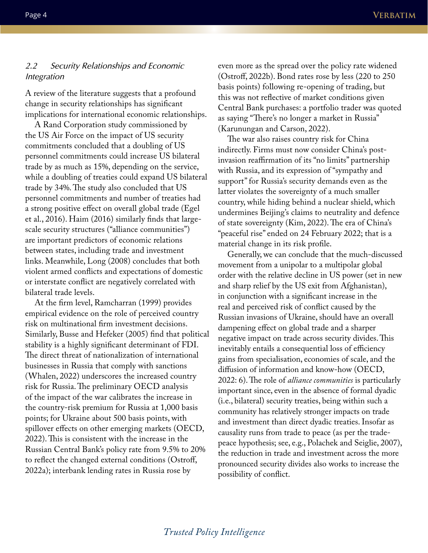#### *2.2 Security Relationships and Economic Integration*

A review of the literature suggests that a profound change in security relationships has significant implications for international economic relationships.

A Rand Corporation study commissioned by the US Air Force on the impact of US security commitments concluded that a doubling of US personnel commitments could increase US bilateral trade by as much as 15%, depending on the service, while a doubling of treaties could expand US bilateral trade by 34%. The study also concluded that US personnel commitments and number of treaties had a strong positive effect on overall global trade (Egel et al., 2016). Haim (2016) similarly finds that largescale security structures ("alliance communities") are important predictors of economic relations between states, including trade and investment links. Meanwhile, Long (2008) concludes that both violent armed conflicts and expectations of domestic or interstate conflict are negatively correlated with bilateral trade levels.

At the firm level, Ramcharran (1999) provides empirical evidence on the role of perceived country risk on multinational firm investment decisions. Similarly, Busse and Hefeker (2005) find that political stability is a highly significant determinant of FDI. The direct threat of nationalization of international businesses in Russia that comply with sanctions (Whalen, 2022) underscores the increased country risk for Russia. The preliminary OECD analysis of the impact of the war calibrates the increase in the country-risk premium for Russia at 1,000 basis points; for Ukraine about 500 basis points, with spillover effects on other emerging markets (OECD, 2022). This is consistent with the increase in the Russian Central Bank's policy rate from 9.5% to 20% to reflect the changed external conditions (Ostroff, 2022a); interbank lending rates in Russia rose by

even more as the spread over the policy rate widened (Ostroff, 2022b). Bond rates rose by less (220 to 250 basis points) following re-opening of trading, but this was not reflective of market conditions given Central Bank purchases: a portfolio trader was quoted as saying "There's no longer a market in Russia" (Karunungan and Carson, 2022).

The war also raises country risk for China indirectly. Firms must now consider China's postinvasion reaffirmation of its "no limits" partnership with Russia, and its expression of "sympathy and support" for Russia's security demands even as the latter violates the sovereignty of a much smaller country, while hiding behind a nuclear shield, which undermines Beijing's claims to neutrality and defence of state sovereignty (Kim, 2022). The era of China's "peaceful rise" ended on 24 February 2022; that is a material change in its risk profile.

Generally, we can conclude that the much-discussed movement from a unipolar to a multipolar global order with the relative decline in US power (set in new and sharp relief by the US exit from Afghanistan), in conjunction with a significant increase in the real and perceived risk of conflict caused by the Russian invasions of Ukraine, should have an overall dampening effect on global trade and a sharper negative impact on trade across security divides. This inevitably entails a consequential loss of efficiency gains from specialisation, economies of scale, and the diffusion of information and know-how (OECD, 2022: 6). The role of *alliance communities* is particularly important since, even in the absence of formal dyadic (i.e., bilateral) security treaties, being within such a community has relatively stronger impacts on trade and investment than direct dyadic treaties. Insofar as causality runs from trade to peace (as per the tradepeace hypothesis; see, e.g., Polachek and Seiglie, 2007), the reduction in trade and investment across the more pronounced security divides also works to increase the possibility of conflict.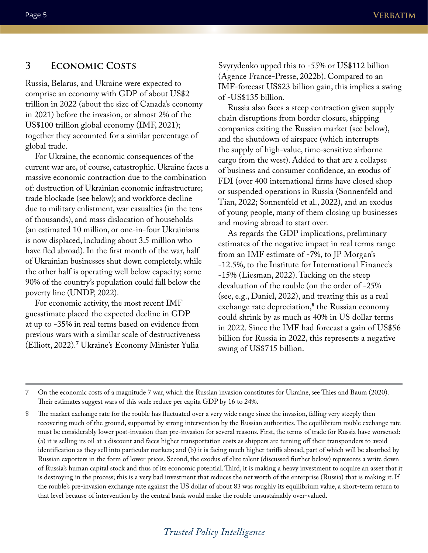#### **3 Economic Costs**

Russia, Belarus, and Ukraine were expected to comprise an economy with GDP of about US\$2 trillion in 2022 (about the size of Canada's economy in 2021) before the invasion, or almost 2% of the US\$100 trillion global economy (IMF, 2021); together they accounted for a similar percentage of global trade.

For Ukraine, the economic consequences of the current war are, of course, catastrophic. Ukraine faces a massive economic contraction due to the combination of: destruction of Ukrainian economic infrastructure; trade blockade (see below); and workforce decline due to military enlistment, war casualties (in the tens of thousands), and mass dislocation of households (an estimated 10 million, or one-in-four Ukrainians is now displaced, including about 3.5 million who have fled abroad). In the first month of the war, half of Ukrainian businesses shut down completely, while the other half is operating well below capacity; some 90% of the country's population could fall below the poverty line (UNDP, 2022).

For economic activity, the most recent IMF guesstimate placed the expected decline in GDP at up to -35% in real terms based on evidence from previous wars with a similar scale of destructiveness (Elliott, 2022).**<sup>7</sup>** Ukraine's Economy Minister Yulia

Svyrydenko upped this to -55% or US\$112 billion (Agence France-Presse, 2022b). Compared to an IMF-forecast US\$23 billion gain, this implies a swing of -US\$135 billion.

Russia also faces a steep contraction given supply chain disruptions from border closure, shipping companies exiting the Russian market (see below), and the shutdown of airspace (which interrupts the supply of high-value, time-sensitive airborne cargo from the west). Added to that are a collapse of business and consumer confidence, an exodus of FDI (over 400 international firms have closed shop or suspended operations in Russia (Sonnenfeld and Tian, 2022; Sonnenfeld et al., 2022), and an exodus of young people, many of them closing up businesses and moving abroad to start over.

As regards the GDP implications, preliminary estimates of the negative impact in real terms range from an IMF estimate of -7%, to JP Morgan's -12.5%, to the Institute for International Finance's -15% (Liesman, 2022). Tacking on the steep devaluation of the rouble (on the order of -25% (see, e.g., Daniel, 2022), and treating this as a real exchange rate depreciation,**<sup>8</sup>** the Russian economy could shrink by as much as 40% in US dollar terms in 2022. Since the IMF had forecast a gain of US\$56 billion for Russia in 2022, this represents a negative swing of US\$715 billion.

7 On the economic costs of a magnitude 7 war, which the Russian invasion constitutes for Ukraine, see Thies and Baum (2020). Their estimates suggest wars of this scale reduce per capita GDP by 16 to 24%.

8 The market exchange rate for the rouble has fluctuated over a very wide range since the invasion, falling very steeply then recovering much of the ground, supported by strong intervention by the Russian authorities. The equilibrium rouble exchange rate must be considerably lower post-invasion than pre-invasion for several reasons. First, the terms of trade for Russia have worsened: (a) it is selling its oil at a discount and faces higher transportation costs as shippers are turning off their transponders to avoid identification as they sell into particular markets; and (b) it is facing much higher tariffs abroad, part of which will be absorbed by Russian exporters in the form of lower prices. Second, the exodus of elite talent (discussed further below) represents a write down of Russia's human capital stock and thus of its economic potential. Third, it is making a heavy investment to acquire an asset that it is destroying in the process; this is a very bad investment that reduces the net worth of the enterprise (Russia) that is making it. If the rouble's pre-invasion exchange rate against the US dollar of about 83 was roughly its equilibrium value, a short-term return to that level because of intervention by the central bank would make the rouble unsustainably over-valued.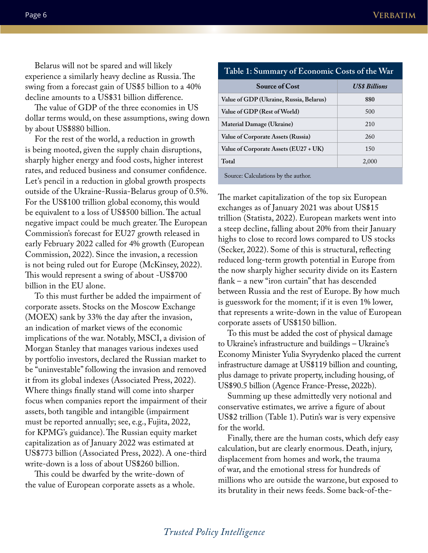Belarus will not be spared and will likely experience a similarly heavy decline as Russia. The swing from a forecast gain of US\$5 billion to a 40% decline amounts to a US\$31 billion difference.

The value of GDP of the three economies in US dollar terms would, on these assumptions, swing down by about US\$880 billion.

For the rest of the world, a reduction in growth is being mooted, given the supply chain disruptions, sharply higher energy and food costs, higher interest rates, and reduced business and consumer confidence. Let's pencil in a reduction in global growth prospects outside of the Ukraine-Russia-Belarus group of 0.5%. For the US\$100 trillion global economy, this would be equivalent to a loss of US\$500 billion. The actual negative impact could be much greater. The European Commission's forecast for EU27 growth released in early February 2022 called for 4% growth (European Commission, 2022). Since the invasion, a recession is not being ruled out for Europe (McKinsey, 2022). This would represent a swing of about -US\$700 billion in the EU alone.

To this must further be added the impairment of corporate assets. Stocks on the Moscow Exchange (MOEX) sank by 33% the day after the invasion, an indication of market views of the economic implications of the war. Notably, MSCI, a division of Morgan Stanley that manages various indexes used by portfolio investors, declared the Russian market to be "uninvestable" following the invasion and removed it from its global indexes (Associated Press, 2022). Where things finally stand will come into sharper focus when companies report the impairment of their assets, both tangible and intangible (impairment must be reported annually; see, e.g., Fujita, 2022, for KPMG's guidance). The Russian equity market capitalization as of January 2022 was estimated at US\$773 billion (Associated Press, 2022). A one-third write-down is a loss of about US\$260 billion.

This could be dwarfed by the write-down of the value of European corporate assets as a whole.

| Table 1: Summary of Economic Costs of the War |                      |
|-----------------------------------------------|----------------------|
| <b>Source of Cost</b>                         | <b>US\$ Billions</b> |
| Value of GDP (Ukraine, Russia, Belarus)       | 880                  |
| Value of GDP (Rest of World)                  | 500                  |
| Material Damage (Ukraine)                     | 210                  |
| Value of Corporate Assets (Russia)            | 260                  |
| Value of Corporate Assets (EU27 + UK)         | 150                  |
| Total                                         | 2,000                |

Source: Calculations by the author.

The market capitalization of the top six European exchanges as of January 2021 was about US\$15 trillion (Statista, 2022). European markets went into a steep decline, falling about 20% from their January highs to close to record lows compared to US stocks (Secker, 2022). Some of this is structural, reflecting reduced long-term growth potential in Europe from the now sharply higher security divide on its Eastern flank – a new "iron curtain" that has descended between Russia and the rest of Europe. By how much is guesswork for the moment; if it is even 1% lower, that represents a write-down in the value of European corporate assets of US\$150 billion.

To this must be added the cost of physical damage to Ukraine's infrastructure and buildings – Ukraine's Economy Minister Yulia Svyrydenko placed the current infrastructure damage at US\$119 billion and counting, plus damage to private property, including housing, of US\$90.5 billion (Agence France-Presse, 2022b).

Summing up these admittedly very notional and conservative estimates, we arrive a figure of about US\$2 trillion (Table 1). Putin's war is very expensive for the world.

Finally, there are the human costs, which defy easy calculation, but are clearly enormous. Death, injury, displacement from homes and work, the trauma of war, and the emotional stress for hundreds of millions who are outside the warzone, but exposed to its brutality in their news feeds. Some back-of-the-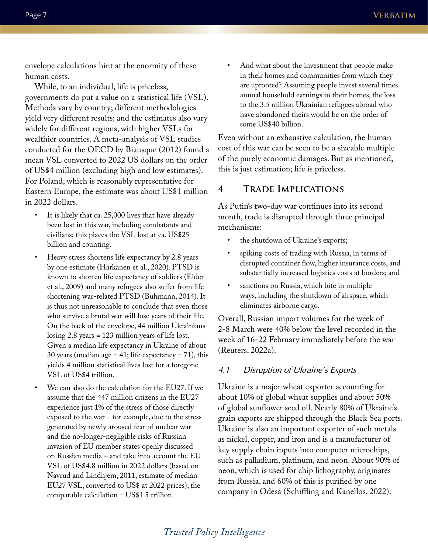envelope calculations hint at the enormity of these human costs.

While, to an individual, life is priceless, governments do put a value on a statistical life (VSL). Methods vary by country; different methodologies yield very different results; and the estimates also vary widely for different regions, with higher VSLs for wealthier countries. A meta-analysis of VSL studies conducted for the OECD by Biausque (2012) found a mean VSL converted to 2022 US dollars on the order of US\$4 million (excluding high and low estimates). For Poland, which is reasonably representative for Eastern Europe, the estimate was about US\$1 million in 2022 dollars.

- It is likely that ca. 25,000 lives that have already been lost in this war, including combatants and civilians; this places the VSL lost at ca. US\$25 billion and counting.
- Heavy stress shortens life expectancy by 2.8 years by one estimate (Härkänen et al., 2020). PTSD is known to shorten life expectancy of soldiers (Elder et al., 2009) and many refugees also suffer from lifeshortening war-related PTSD (Buhmann, 2014). It is thus not unreasonable to conclude that even those who survive a brutal war will lose years of their life. On the back of the envelope, 44 million Ukrainians losing 2.8 years = 123 million years of life lost. Given a median life expectancy in Ukraine of about 30 years (median age = 41; life expectancy = 71), this yields 4 million statistical lives lost for a foregone VSL of US\$4 trillion.
	- We can also do the calculation for the EU27. If we assume that the 447 million citizens in the EU27 experience just 1% of the stress of those directly exposed to the war – for example, due to the stress generated by newly aroused fear of nuclear war and the no-longer-negligible risks of Russian invasion of EU member states openly discussed on Russian media – and take into account the EU VSL of US\$4.8 million in 2022 dollars (based on Navrud and Lindhjem, 2011, estimate of median EU27 VSL, converted to US\$ at 2022 prices), the comparable calculation = US\$1.5 trillion.

And what about the investment that people make in their homes and communities from which they are uprooted? Assuming people invest several times annual household earnings in their homes, the loss to the 3.5 million Ukrainian refugees abroad who have abandoned theirs would be on the order of some US\$40 billion.

Even without an exhaustive calculation, the human cost of this war can be seen to be a sizeable multiple of the purely economic damages. But as mentioned, this is just estimation; life is priceless.

#### **4 Trade Implications**

As Putin's two-day war continues into its second month, trade is disrupted through three principal mechanisms:

- the shutdown of Ukraine's exports;
- spiking costs of trading with Russia, in terms of disrupted container flow, higher insurance costs, and substantially increased logistics costs at borders; and
- sanctions on Russia, which bite in multiple ways, including the shutdown of airspace, which eliminates airborne cargo.

Overall, Russian import volumes for the week of 2-8 March were 40% below the level recorded in the week of 16-22 February immediately before the war (Reuters, 2022a).

#### *4.1 Disruption of Ukraine's Exports*

Ukraine is a major wheat exporter accounting for about 10% of global wheat supplies and about 50% of global sunflower seed oil. Nearly 80% of Ukraine's grain exports are shipped through the Black Sea ports. Ukraine is also an important exporter of such metals as nickel, copper, and iron and is a manufacturer of key supply chain inputs into computer microchips, such as palladium, platinum, and neon. About 90% of neon, which is used for chip lithography, originates from Russia, and 60% of this is purified by one company in Odesa (Schiffling and Kanellos, 2022).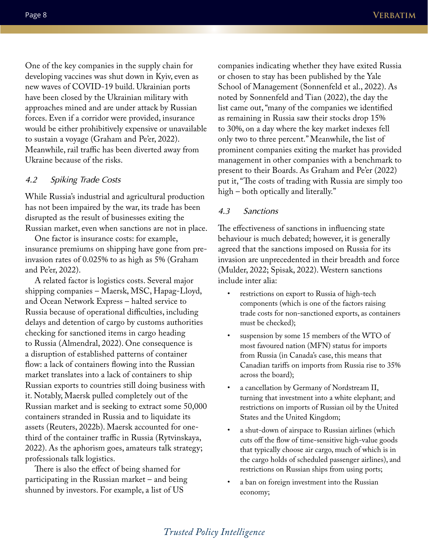One of the key companies in the supply chain for developing vaccines was shut down in Kyiv, even as new waves of COVID-19 build. Ukrainian ports have been closed by the Ukrainian military with approaches mined and are under attack by Russian forces. Even if a corridor were provided, insurance would be either prohibitively expensive or unavailable to sustain a voyage (Graham and Pe'er, 2022). Meanwhile, rail traffic has been diverted away from Ukraine because of the risks.

#### *4.2 Spiking Trade Costs*

While Russia's industrial and agricultural production has not been impaired by the war, its trade has been disrupted as the result of businesses exiting the Russian market, even when sanctions are not in place.

One factor is insurance costs: for example, insurance premiums on shipping have gone from preinvasion rates of 0.025% to as high as 5% (Graham and Pe'er, 2022).

A related factor is logistics costs. Several major shipping companies – Maersk, MSC, Hapag-Lloyd, and Ocean Network Express – halted service to Russia because of operational difficulties, including delays and detention of cargo by customs authorities checking for sanctioned items in cargo heading to Russia (Almendral, 2022). One consequence is a disruption of established patterns of container flow: a lack of containers flowing into the Russian market translates into a lack of containers to ship Russian exports to countries still doing business with it. Notably, Maersk pulled completely out of the Russian market and is seeking to extract some 50,000 containers stranded in Russia and to liquidate its assets (Reuters, 2022b). Maersk accounted for onethird of the container traffic in Russia (Rytvinskaya, 2022). As the aphorism goes, amateurs talk strategy; professionals talk logistics.

There is also the effect of being shamed for participating in the Russian market – and being shunned by investors. For example, a list of US

companies indicating whether they have exited Russia or chosen to stay has been published by the Yale School of Management (Sonnenfeld et al., 2022). As noted by Sonnenfeld and Tian (2022), the day the list came out, "many of the companies we identified as remaining in Russia saw their stocks drop 15% to 30%, on a day where the key market indexes fell only two to three percent." Meanwhile, the list of prominent companies exiting the market has provided management in other companies with a benchmark to present to their Boards. As Graham and Pe'er (2022) put it, "The costs of trading with Russia are simply too high – both optically and literally."

#### *4.3 Sanctions*

The effectiveness of sanctions in influencing state behaviour is much debated; however, it is generally agreed that the sanctions imposed on Russia for its invasion are unprecedented in their breadth and force (Mulder, 2022; Spisak, 2022). Western sanctions include inter alia:

- restrictions on export to Russia of high-tech components (which is one of the factors raising trade costs for non-sanctioned exports, as containers must be checked);
- suspension by some 15 members of the WTO of most favoured nation (MFN) status for imports from Russia (in Canada's case, this means that Canadian tariffs on imports from Russia rise to 35% across the board);
- a cancellation by Germany of Nordstream II, turning that investment into a white elephant; and restrictions on imports of Russian oil by the United States and the United Kingdom;
- a shut-down of airspace to Russian airlines (which cuts off the flow of time-sensitive high-value goods that typically choose air cargo, much of which is in the cargo holds of scheduled passenger airlines), and restrictions on Russian ships from using ports;
- a ban on foreign investment into the Russian economy;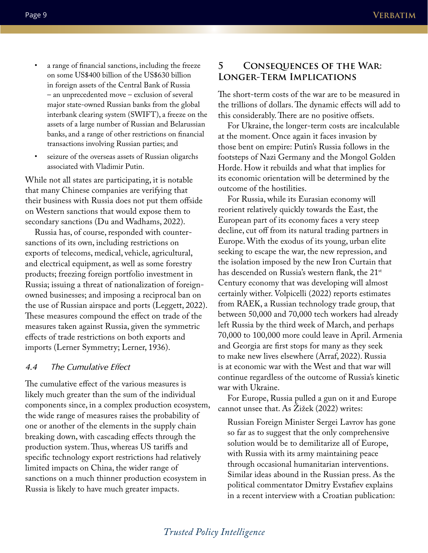- - a range of financial sanctions, including the freeze on some US\$400 billion of the US\$630 billion in foreign assets of the Central Bank of Russia – an unprecedented move – exclusion of several major state-owned Russian banks from the global interbank clearing system (SWIFT), a freeze on the assets of a large number of Russian and Belarussian banks, and a range of other restrictions on financial transactions involving Russian parties; and
	- seizure of the overseas assets of Russian oligarchs associated with Vladimir Putin.

While not all states are participating, it is notable that many Chinese companies are verifying that their business with Russia does not put them offside on Western sanctions that would expose them to secondary sanctions (Du and Wadhams, 2022).

Russia has, of course, responded with countersanctions of its own, including restrictions on exports of telecoms, medical, vehicle, agricultural, and electrical equipment, as well as some forestry products; freezing foreign portfolio investment in Russia; issuing a threat of nationalization of foreignowned businesses; and imposing a reciprocal ban on the use of Russian airspace and ports (Leggett, 2022). These measures compound the effect on trade of the measures taken against Russia, given the symmetric effects of trade restrictions on both exports and imports (Lerner Symmetry; Lerner, 1936).

#### *4.4 The Cumulative Effect*

The cumulative effect of the various measures is likely much greater than the sum of the individual components since, in a complex production ecosystem, the wide range of measures raises the probability of one or another of the elements in the supply chain breaking down, with cascading effects through the production system. Thus, whereas US tariffs and specific technology export restrictions had relatively limited impacts on China, the wider range of sanctions on a much thinner production ecosystem in Russia is likely to have much greater impacts.

### **5 Consequences of the War: Longer-Term Implications**

The short-term costs of the war are to be measured in the trillions of dollars. The dynamic effects will add to this considerably. There are no positive offsets.

For Ukraine, the longer-term costs are incalculable at the moment. Once again it faces invasion by those bent on empire: Putin's Russia follows in the footsteps of Nazi Germany and the Mongol Golden Horde. How it rebuilds and what that implies for its economic orientation will be determined by the outcome of the hostilities.

For Russia, while its Eurasian economy will reorient relatively quickly towards the East, the European part of its economy faces a very steep decline, cut off from its natural trading partners in Europe. With the exodus of its young, urban elite seeking to escape the war, the new repression, and the isolation imposed by the new Iron Curtain that has descended on Russia's western flank, the 21<sup>st</sup> Century economy that was developing will almost certainly wither. Volpicelli (2022) reports estimates from RAEK, a Russian technology trade group, that between 50,000 and 70,000 tech workers had already left Russia by the third week of March, and perhaps 70,000 to 100,000 more could leave in April. Armenia and Georgia are first stops for many as they seek to make new lives elsewhere (Arraf, 2022). Russia is at economic war with the West and that war will continue regardless of the outcome of Russia's kinetic war with Ukraine.

For Europe, Russia pulled a gun on it and Europe cannot unsee that. As Žižek (2022) writes:

Russian Foreign Minister Sergei Lavrov has gone so far as to suggest that the only comprehensive solution would be to demilitarize all of Europe, with Russia with its army maintaining peace through occasional humanitarian interventions. Similar ideas abound in the Russian press. As the political commentator Dmitry Evstafiev explains in a recent interview with a Croatian publication: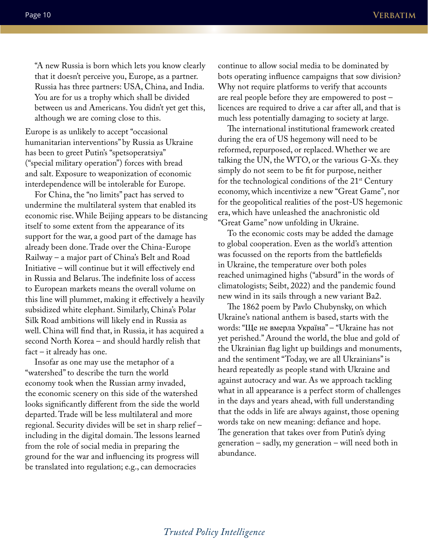"A new Russia is born which lets you know clearly that it doesn't perceive you, Europe, as a partner. Russia has three partners: USA, China, and India. You are for us a trophy which shall be divided between us and Americans. You didn't yet get this, although we are coming close to this.

Europe is as unlikely to accept "occasional humanitarian interventions" by Russia as Ukraine has been to greet Putin's "spetsoperatsiya" ("special military operation") forces with bread and salt. Exposure to weaponization of economic interdependence will be intolerable for Europe.

For China, the "no limits" pact has served to undermine the multilateral system that enabled its economic rise. While Beijing appears to be distancing itself to some extent from the appearance of its support for the war, a good part of the damage has already been done. Trade over the China-Europe Railway – a major part of China's Belt and Road Initiative – will continue but it will effectively end in Russia and Belarus. The indefinite loss of access to European markets means the overall volume on this line will plummet, making it effectively a heavily subsidized white elephant. Similarly, China's Polar Silk Road ambitions will likely end in Russia as well. China will find that, in Russia, it has acquired a second North Korea – and should hardly relish that fact – it already has one.

Insofar as one may use the metaphor of a "watershed" to describe the turn the world economy took when the Russian army invaded, the economic scenery on this side of the watershed looks significantly different from the side the world departed. Trade will be less multilateral and more regional. Security divides will be set in sharp relief – including in the digital domain. The lessons learned from the role of social media in preparing the ground for the war and influencing its progress will be translated into regulation; e.g., can democracies

continue to allow social media to be dominated by bots operating influence campaigns that sow division? Why not require platforms to verify that accounts are real people before they are empowered to post – licences are required to drive a car after all, and that is much less potentially damaging to society at large.

The international institutional framework created during the era of US hegemony will need to be reformed, repurposed, or replaced. Whether we are talking the UN, the WTO, or the various G-Xs. they simply do not seem to be fit for purpose, neither for the technological conditions of the  $21<sup>st</sup>$  Century economy, which incentivize a new "Great Game", nor for the geopolitical realities of the post-US hegemonic era, which have unleashed the anachronistic old "Great Game" now unfolding in Ukraine.

To the economic costs may be added the damage to global cooperation. Even as the world's attention was focussed on the reports from the battlefields in Ukraine, the temperature over both poles reached unimagined highs ("absurd" in the words of climatologists; Seibt, 2022) and the pandemic found new wind in its sails through a new variant Ba2.

The 1862 poem by Pavlo Chubynsky, on which Ukraine's national anthem is based, starts with the words: "Ще не вмерла Українa" – "Ukraine has not yet perished." Around the world, the blue and gold of the Ukrainian flag light up buildings and monuments, and the sentiment "Today, we are all Ukrainians" is heard repeatedly as people stand with Ukraine and against autocracy and war. As we approach tackling what in all appearance is a perfect storm of challenges in the days and years ahead, with full understanding that the odds in life are always against, those opening words take on new meaning: defiance and hope. The generation that takes over from Putin's dying generation – sadly, my generation – will need both in abundance.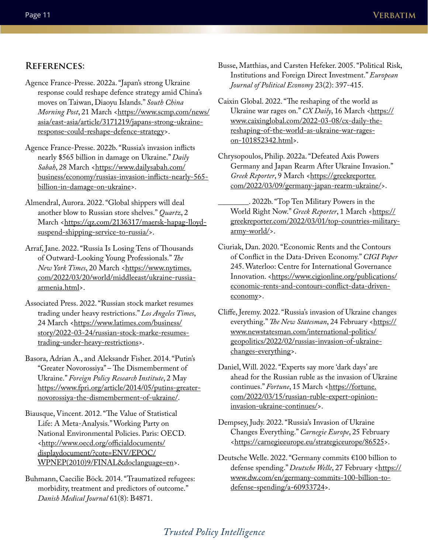#### **References:**

- Agence France-Presse. 2022a. "Japan's strong Ukraine response could reshape defence strategy amid China's moves on Taiwan, Diaoyu Islands." *South China Morning Post*, 21 March [<https://www.scmp.com/news/](https://www.scmp.com/news/asia/east-asia/article/3171219/japans-strong-ukraine-response-could-reshape-defence-strategy) [asia/east-asia/article/3171219/japans-strong-ukraine](https://www.scmp.com/news/asia/east-asia/article/3171219/japans-strong-ukraine-response-could-reshape-defence-strategy)[response-could-reshape-defence-strategy](https://www.scmp.com/news/asia/east-asia/article/3171219/japans-strong-ukraine-response-could-reshape-defence-strategy)>.
- Agence France-Presse. 2022b. "Russia's invasion inflicts nearly \$565 billion in damage on Ukraine." *Daily*  Sabah, 28 March [<https://www.dailysabah.com/](https://www.dailysabah.com/business/economy/russias-invasion-inflicts-nearly-565-billion-in-damage-on-ukraine) [business/economy/russias-invasion-inflicts-nearly-565](https://www.dailysabah.com/business/economy/russias-invasion-inflicts-nearly-565-billion-in-damage-on-ukraine) [billion-in-damage-on-ukraine](https://www.dailysabah.com/business/economy/russias-invasion-inflicts-nearly-565-billion-in-damage-on-ukraine)>.
- Almendral, Aurora. 2022. "Global shippers will deal another blow to Russian store shelves." *Quartz*, 2 March <[https://qz.com/2136317/maersk-hapag-lloyd](https://qz.com/2136317/maersk-hapag-lloyd-suspend-shipping-service-to-russia/)[suspend-shipping-service-to-russia/>](https://qz.com/2136317/maersk-hapag-lloyd-suspend-shipping-service-to-russia/).
- Arraf, Jane. 2022. "Russia Is Losing Tens of Thousands of Outward-Looking Young Professionals." *The*  New York Times, 20 March [<https://www.nytimes.](https://www.nytimes.com/2022/03/20/world/middleeast/ukraine-russia-armenia.html) [com/2022/03/20/world/middleeast/ukraine-russia](https://www.nytimes.com/2022/03/20/world/middleeast/ukraine-russia-armenia.html)[armenia.html](https://www.nytimes.com/2022/03/20/world/middleeast/ukraine-russia-armenia.html)>.
- Associated Press. 2022. "Russian stock market resumes trading under heavy restrictions." *Los Angeles Times*, 24 March <[https://www.latimes.com/business/](https://www.latimes.com/business/story/2022-03-24/russian-stock-marke-resumes-trading-under-heavy-restrictions) [story/2022-03-24/russian-stock-marke-resumes](https://www.latimes.com/business/story/2022-03-24/russian-stock-marke-resumes-trading-under-heavy-restrictions)[trading-under-heavy-restrictions](https://www.latimes.com/business/story/2022-03-24/russian-stock-marke-resumes-trading-under-heavy-restrictions)>.
- Basora, Adrian A., and Aleksandr Fisher. 2014. "Putin's "Greater Novorossiya" – The Dismemberment of Ukraine." *Foreign Policy Research Institute*, 2 May [https://www.fpri.org/article/2014/05/putins-greater](https://www.fpri.org/article/2014/05/putins-greater-novorossiya-the-dismemberment-of-ukraine/)[novorossiya-the-dismemberment-of-ukraine/.](https://www.fpri.org/article/2014/05/putins-greater-novorossiya-the-dismemberment-of-ukraine/)
- Biausque, Vincent. 2012. "The Value of Statistical Life: A Meta-Analysis." Working Party on National Environmental Policies. Paris: OECD. <[http://www.oecd.org/officialdocuments/](http://www.oecd.org/officialdocuments/displaydocument/?cote=ENV/EPOC/WPNEP(2010)9/FINAL&doclanguage=en) [displaydocument/?cote=ENV/EPOC/](http://www.oecd.org/officialdocuments/displaydocument/?cote=ENV/EPOC/WPNEP(2010)9/FINAL&doclanguage=en) [WPNEP\(2010\)9/FINAL&doclanguage=en](http://www.oecd.org/officialdocuments/displaydocument/?cote=ENV/EPOC/WPNEP(2010)9/FINAL&doclanguage=en)>.
- Buhmann, Caecilie Böck. 2014. "Traumatized refugees: morbidity, treatment and predictors of outcome." *Danish Medical Journal* 61(8): B4871.
- Busse, Matthias, and Carsten Hefeker. 2005. "Political Risk, Institutions and Foreign Direct Investment." *European Journal of Political Economy* 23(2): 397-415.
- Caixin Global. 2022. "The reshaping of the world as Ukraine war rages on." CX Daily, 16 March [<https://](https://www.caixinglobal.com/2022-03-08/cx-daily-the-reshaping-of-the-world-as-ukraine-war-rages-on-101852342.html) [www.caixinglobal.com/2022-03-08/cx-daily-the](https://www.caixinglobal.com/2022-03-08/cx-daily-the-reshaping-of-the-world-as-ukraine-war-rages-on-101852342.html)[reshaping-of-the-world-as-ukraine-war-rages](https://www.caixinglobal.com/2022-03-08/cx-daily-the-reshaping-of-the-world-as-ukraine-war-rages-on-101852342.html)[on-101852342.html](https://www.caixinglobal.com/2022-03-08/cx-daily-the-reshaping-of-the-world-as-ukraine-war-rages-on-101852342.html)>.
- Chrysopoulos, Philip. 2022a. "Defeated Axis Powers Germany and Japan Rearm After Ukraine Invasion." Greek Reporter, 9 March <[https://greekreporter.](https://greekreporter.com/2022/03/09/germany-japan-rearm-ukraine/) [com/2022/03/09/germany-japan-rearm-ukraine/>](https://greekreporter.com/2022/03/09/germany-japan-rearm-ukraine/).
	- . 2022b. "Top Ten Military Powers in the World Right Now." Greek Reporter, 1 March <[https://](https://greekreporter.com/2022/03/01/top-countries-military-army-world/) [greekreporter.com/2022/03/01/top-countries-military](https://greekreporter.com/2022/03/01/top-countries-military-army-world/)[army-world/>](https://greekreporter.com/2022/03/01/top-countries-military-army-world/).
- Ciuriak, Dan. 2020. "Economic Rents and the Contours of Conflict in the Data-Driven Economy." *CIGI Paper* 245. Waterloo: Centre for International Governance Innovation. <[https://www.cigionline.org/publications/](https://www.cigionline.org/publications/economic-rents-and-contours-conflict-data-driven-economy) [economic-rents-and-contours-conflict-data-driven](https://www.cigionline.org/publications/economic-rents-and-contours-conflict-data-driven-economy)[economy>](https://www.cigionline.org/publications/economic-rents-and-contours-conflict-data-driven-economy).
- Cliffe, Jeremy. 2022. "Russia's invasion of Ukraine changes everything." The New Statesman, 24 February [<https://](https://www.newstatesman.com/international-politics/geopolitics/2022/02/russias-invasion-of-ukraine-changes-everything) [www.newstatesman.com/international-politics/](https://www.newstatesman.com/international-politics/geopolitics/2022/02/russias-invasion-of-ukraine-changes-everything) [geopolitics/2022/02/russias-invasion-of-ukraine](https://www.newstatesman.com/international-politics/geopolitics/2022/02/russias-invasion-of-ukraine-changes-everything)[changes-everything](https://www.newstatesman.com/international-politics/geopolitics/2022/02/russias-invasion-of-ukraine-changes-everything)>.
- Daniel, Will. 2022. "Experts say more 'dark days' are ahead for the Russian ruble as the invasion of Ukraine continues." Fortune, 15 March [<https://fortune.](https://fortune.com/2022/03/15/russian-ruble-expert-opinion-invasion-ukraine-continues/) [com/2022/03/15/russian-ruble-expert-opinion](https://fortune.com/2022/03/15/russian-ruble-expert-opinion-invasion-ukraine-continues/)[invasion-ukraine-continues/](https://fortune.com/2022/03/15/russian-ruble-expert-opinion-invasion-ukraine-continues/)>.
- Dempsey, Judy. 2022. "Russia's Invasion of Ukraine Changes Everything." *Carnegie Europe*, 25 February <[https://carnegieeurope.eu/strategiceurope/86525>](https://carnegieeurope.eu/strategiceurope/86525).
- Deutsche Welle. 2022. "Germany commits €100 billion to defense spending." *Deutsche Welle*, 27 February [<https://](https://www.dw.com/en/germany-commits-100-billion-to-defense-spending/a-60933724) [www.dw.com/en/germany-commits-100-billion-to](https://www.dw.com/en/germany-commits-100-billion-to-defense-spending/a-60933724)[defense-spending/a-60933724](https://www.dw.com/en/germany-commits-100-billion-to-defense-spending/a-60933724)>.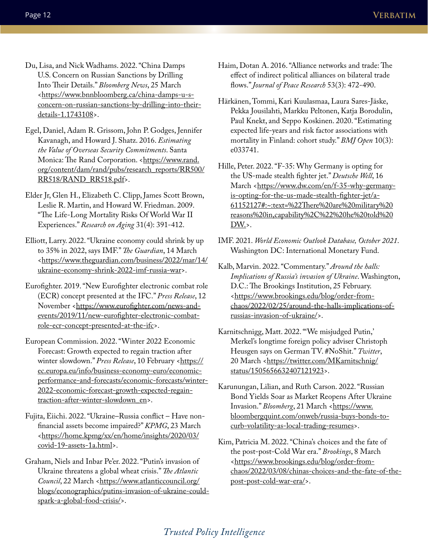- Du, Lisa, and Nick Wadhams. 2022. "China Damps U.S. Concern on Russian Sanctions by Drilling Into Their Details." *Bloomberg News*, 25 March <[https://www.bnnbloomberg.ca/china-damps-u-s](https://www.bnnbloomberg.ca/china-damps-u-s-concern-on-russian-sanctions-by-drilling-into-their-details-1.1743108)[concern-on-russian-sanctions-by-drilling-into-their](https://www.bnnbloomberg.ca/china-damps-u-s-concern-on-russian-sanctions-by-drilling-into-their-details-1.1743108)[details-1.1743108>](https://www.bnnbloomberg.ca/china-damps-u-s-concern-on-russian-sanctions-by-drilling-into-their-details-1.1743108).
- Egel, Daniel, Adam R. Grissom, John P. Godges, Jennifer Kavanagh, and Howard J. Shatz. 2016. *Estimating the Value of Overseas Security Commitments*. Santa Monica: The Rand Corporation. <[https://www.rand.](https://www.rand.org/content/dam/rand/pubs/research_reports/RR500/RR518/RAND_RR518.pdf) [org/content/dam/rand/pubs/research\\_reports/RR500/](https://www.rand.org/content/dam/rand/pubs/research_reports/RR500/RR518/RAND_RR518.pdf) [RR518/RAND\\_RR518.pdf>](https://www.rand.org/content/dam/rand/pubs/research_reports/RR500/RR518/RAND_RR518.pdf).
- Elder Jr, Glen H., Elizabeth C. Clipp, James Scott Brown, Leslie R. Martin, and Howard W. Friedman. 2009. "The Life-Long Mortality Risks Of World War II Experiences." *Research on Aging* 31(4): 391-412.
- Elliott, Larry. 2022. "Ukraine economy could shrink by up to 35% in 2022, says IMF." *The Guardian*, 14 March <[https://www.theguardian.com/business/2022/mar/14/](https://www.theguardian.com/business/2022/mar/14/ukraine-economy-shrink-2022-imf-russia-war) [ukraine-economy-shrink-2022-imf-russia-war](https://www.theguardian.com/business/2022/mar/14/ukraine-economy-shrink-2022-imf-russia-war)>.
- Eurofighter. 2019. "New Eurofighter electronic combat role (ECR) concept presented at the IFC." *Press Release*, 12 November <[https://www.eurofighter.com/news-and](https://www.eurofighter.com/news-and-events/2019/11/new-eurofighter-electronic-combat-role-ecr-concept-presented-at-the-ifc)[events/2019/11/new-eurofighter-electronic-combat](https://www.eurofighter.com/news-and-events/2019/11/new-eurofighter-electronic-combat-role-ecr-concept-presented-at-the-ifc)[role-ecr-concept-presented-at-the-ifc](https://www.eurofighter.com/news-and-events/2019/11/new-eurofighter-electronic-combat-role-ecr-concept-presented-at-the-ifc)>.
- European Commission. 2022. "Winter 2022 Economic Forecast: Growth expected to regain traction after winter slowdown." Press Release, 10 February <[https://](https://ec.europa.eu/info/business-economy-euro/economic-performance-and-forecasts/economic-forecasts/winter-2022-economic-forecast-growth-expected-regain-traction-after-winter-slowdown_en) [ec.europa.eu/info/business-economy-euro/economic](https://ec.europa.eu/info/business-economy-euro/economic-performance-and-forecasts/economic-forecasts/winter-2022-economic-forecast-growth-expected-regain-traction-after-winter-slowdown_en)[performance-and-forecasts/economic-forecasts/winter-](https://ec.europa.eu/info/business-economy-euro/economic-performance-and-forecasts/economic-forecasts/winter-2022-economic-forecast-growth-expected-regain-traction-after-winter-slowdown_en)[2022-economic-forecast-growth-expected-regain](https://ec.europa.eu/info/business-economy-euro/economic-performance-and-forecasts/economic-forecasts/winter-2022-economic-forecast-growth-expected-regain-traction-after-winter-slowdown_en)[traction-after-winter-slowdown\\_en](https://ec.europa.eu/info/business-economy-euro/economic-performance-and-forecasts/economic-forecasts/winter-2022-economic-forecast-growth-expected-regain-traction-after-winter-slowdown_en)>.
- Fujita, Eiichi. 2022. "Ukraine–Russia conflict Have nonfinancial assets become impaired?" *KPMG*, 23 March <[https://home.kpmg/xx/en/home/insights/2020/03/](https://home.kpmg/xx/en/home/insights/2020/03/covid-19-assets-1a.html) [covid-19-assets-1a.html>](https://home.kpmg/xx/en/home/insights/2020/03/covid-19-assets-1a.html).
- Graham, Niels and Inbar Pe'er. 2022. "Putin's invasion of Ukraine threatens a global wheat crisis." *The Atlantic*  Council, 22 March <[https://www.atlanticcouncil.org/](https://www.atlanticcouncil.org/blogs/econographics/putins-invasion-of-ukraine-could-spark-a-global-food-crisis/) [blogs/econographics/putins-invasion-of-ukraine-could](https://www.atlanticcouncil.org/blogs/econographics/putins-invasion-of-ukraine-could-spark-a-global-food-crisis/)[spark-a-global-food-crisis/>](https://www.atlanticcouncil.org/blogs/econographics/putins-invasion-of-ukraine-could-spark-a-global-food-crisis/).
- Haim, Dotan A. 2016. "Alliance networks and trade: The effect of indirect political alliances on bilateral trade flows." *Journal of Peace Research* 53(3): 472-490.
- Härkänen, Tommi, Kari Kuulasmaa, Laura Sares-Jäske, Pekka Jousilahti, Markku Peltonen, Katja Borodulin, Paul Knekt, and Seppo Koskinen. 2020. "Estimating expected life-years and risk factor associations with mortality in Finland: cohort study." *BMJ Open* 10(3): e033741.
- Hille, Peter. 2022. "F-35: Why Germany is opting for the US-made stealth fighter jet." *Deutsche Well*, 16 March <[https://www.dw.com/en/f-35-why-germany](https://www.dw.com/en/f-35-why-germany-is-opting-for-the-us-made-stealth-fighter-jet/a-61152127#:~:text=%22There%20are%20military%20reasons%20in,capability%2C%22%20he%20told%20DW.)[is-opting-for-the-us-made-stealth-fighter-jet/a-](https://www.dw.com/en/f-35-why-germany-is-opting-for-the-us-made-stealth-fighter-jet/a-61152127#:~:text=%22There%20are%20military%20reasons%20in,capability%2C%22%20he%20told%20DW.)[61152127#:~:text=%22There%20are%20military%20](https://www.dw.com/en/f-35-why-germany-is-opting-for-the-us-made-stealth-fighter-jet/a-61152127#:~:text=%22There%20are%20military%20reasons%20in,capability%2C%22%20he%20told%20DW.) [reasons%20in,capability%2C%22%20he%20told%20](https://www.dw.com/en/f-35-why-germany-is-opting-for-the-us-made-stealth-fighter-jet/a-61152127#:~:text=%22There%20are%20military%20reasons%20in,capability%2C%22%20he%20told%20DW.) [DW.>](https://www.dw.com/en/f-35-why-germany-is-opting-for-the-us-made-stealth-fighter-jet/a-61152127#:~:text=%22There%20are%20military%20reasons%20in,capability%2C%22%20he%20told%20DW.).
- IMF. 2021. *World Economic Outlook Database, October 2021*. Washington DC: International Monetary Fund.
- Kalb, Marvin. 2022. "Commentary." *Around the halls: Implications of Russia's invasion of Ukraine*. Washington, D.C.: The Brookings Institution, 25 February. <[https://www.brookings.edu/blog/order-from](https://www.brookings.edu/blog/order-from-chaos/2022/02/25/around-the-halls-implications-of-russias-invasion-of-ukraine/)[chaos/2022/02/25/around-the-halls-implications-of](https://www.brookings.edu/blog/order-from-chaos/2022/02/25/around-the-halls-implications-of-russias-invasion-of-ukraine/)[russias-invasion-of-ukraine/](https://www.brookings.edu/blog/order-from-chaos/2022/02/25/around-the-halls-implications-of-russias-invasion-of-ukraine/)>.
- Karnitschnigg, Matt. 2022. "'We misjudged Putin,' Merkel's longtime foreign policy adviser Christoph Heusgen says on German TV. #NoShit." *Twitter*, 20 March <[https://twitter.com/MKarnitschnig/](https://twitter.com/MKarnitschnig/status/1505656632407121923) [status/1505656632407121923](https://twitter.com/MKarnitschnig/status/1505656632407121923)>.
- Karunungan, Lilian, and Ruth Carson. 2022. "Russian Bond Yields Soar as Market Reopens After Ukraine Invasion." *Bloomberg*, 21 March [<https://www.](https://www.bloombergquint.com/onweb/russia-buys-bonds-to-curb-volatility-as-local-trading-resumes) [bloombergquint.com/onweb/russia-buys-bonds-to](https://www.bloombergquint.com/onweb/russia-buys-bonds-to-curb-volatility-as-local-trading-resumes)[curb-volatility-as-local-trading-resumes](https://www.bloombergquint.com/onweb/russia-buys-bonds-to-curb-volatility-as-local-trading-resumes)>.
- Kim, Patricia M. 2022. "China's choices and the fate of the post-post-Cold War era." *Brookings*, 8 March <[https://www.brookings.edu/blog/order-from](https://www.brookings.edu/blog/order-from-chaos/2022/03/08/chinas-choices-and-the-fate-of-the-post-post-cold-war-era/)[chaos/2022/03/08/chinas-choices-and-the-fate-of-the](https://www.brookings.edu/blog/order-from-chaos/2022/03/08/chinas-choices-and-the-fate-of-the-post-post-cold-war-era/)[post-post-cold-war-era/](https://www.brookings.edu/blog/order-from-chaos/2022/03/08/chinas-choices-and-the-fate-of-the-post-post-cold-war-era/)>.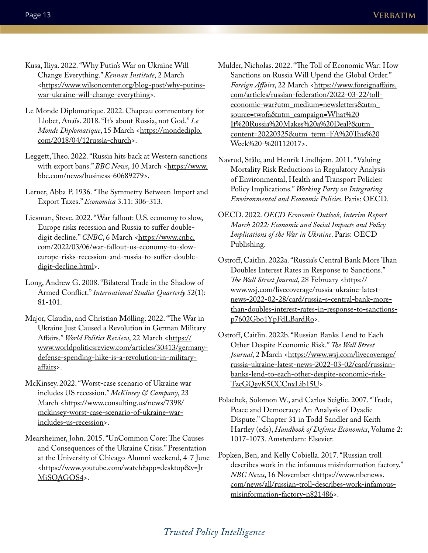- Kusa, Iliya. 2022. "Why Putin's War on Ukraine Will Change Everything." *Kennan Institute*, 2 March <[https://www.wilsoncenter.org/blog-post/why-putins](https://www.wilsoncenter.org/blog-post/why-putins-war-ukraine-will-change-everything)[war-ukraine-will-change-everything>](https://www.wilsoncenter.org/blog-post/why-putins-war-ukraine-will-change-everything).
- Le Monde Diplomatique. 2022. Chapeau commentary for Llobet, Anaïs. 2018. "It's about Russia, not God." *Le*  Monde Diplomatique, 15 March [<https://mondediplo.](https://mondediplo.com/2018/04/12russia-church) [com/2018/04/12russia-church>](https://mondediplo.com/2018/04/12russia-church).
- Leggett, Theo. 2022. "Russia hits back at Western sanctions with export bans." *BBC News*, 10 March [<https://www.](https://www.bbc.com/news/business-60689279) [bbc.com/news/business-60689279>](https://www.bbc.com/news/business-60689279).
- Lerner, Abba P. 1936. "The Symmetry Between Import and Export Taxes." *Economica* 3.11: 306-313.
- Liesman, Steve. 2022. "War fallout: U.S. economy to slow, Europe risks recession and Russia to suffer doubledigit decline." CNBC, 6 March <[https://www.cnbc.](https://www.cnbc.com/2022/03/06/war-fallout-us-economy-to-slow-europe-risks-recession-and-russia-to-suffer-double-digit-decline.html) [com/2022/03/06/war-fallout-us-economy-to-slow](https://www.cnbc.com/2022/03/06/war-fallout-us-economy-to-slow-europe-risks-recession-and-russia-to-suffer-double-digit-decline.html)[europe-risks-recession-and-russia-to-suffer-double](https://www.cnbc.com/2022/03/06/war-fallout-us-economy-to-slow-europe-risks-recession-and-russia-to-suffer-double-digit-decline.html)[digit-decline.html](https://www.cnbc.com/2022/03/06/war-fallout-us-economy-to-slow-europe-risks-recession-and-russia-to-suffer-double-digit-decline.html)>.
- Long, Andrew G. 2008. "Bilateral Trade in the Shadow of Armed Conflict." *International Studies Quarterly* 52(1): 81-101.
- Major, Claudia, and Christian Mölling. 2022. "The War in Ukraine Just Caused a Revolution in German Military Affairs." World Politics Review, 22 March [<https://](https://www.worldpoliticsreview.com/articles/30413/germany-defense-spending-hike-is-a-revolution-in-military-affairs) [www.worldpoliticsreview.com/articles/30413/germany](https://www.worldpoliticsreview.com/articles/30413/germany-defense-spending-hike-is-a-revolution-in-military-affairs)[defense-spending-hike-is-a-revolution-in-military](https://www.worldpoliticsreview.com/articles/30413/germany-defense-spending-hike-is-a-revolution-in-military-affairs)[affairs](https://www.worldpoliticsreview.com/articles/30413/germany-defense-spending-hike-is-a-revolution-in-military-affairs)>.
- McKinsey. 2022. "Worst-case scenario of Ukraine war includes US recession." *McKinsey & Company*, 23 March <[https://www.consulting.us/news/7398/](https://www.consulting.us/news/7398/mckinsey-worst-case-scenario-of-ukraine-war-includes-us-recession) [mckinsey-worst-case-scenario-of-ukraine-war](https://www.consulting.us/news/7398/mckinsey-worst-case-scenario-of-ukraine-war-includes-us-recession)[includes-us-recession](https://www.consulting.us/news/7398/mckinsey-worst-case-scenario-of-ukraine-war-includes-us-recession)>.
- Mearsheimer, John. 2015. "UnCommon Core: The Causes and Consequences of the Ukraine Crisis." Presentation at the University of Chicago Alumni weekend, 4-7 June <[https://www.youtube.com/watch?app=desktop&v=Jr](https://www.youtube.com/watch?app=desktop&v=JrMiSQAGOS4) [MiSQAGOS4>](https://www.youtube.com/watch?app=desktop&v=JrMiSQAGOS4).
- Mulder, Nicholas. 2022. "The Toll of Economic War: How Sanctions on Russia Will Upend the Global Order." Foreign Affairs, 22 March [<https://www.foreignaffairs.](https://www.foreignaffairs.com/articles/russian-federation/2022-03-22/toll-economic-war?utm_medium=newsletters&utm_source=twofa&utm_campaign=What%20If%20Russia%20Makes%20a%20Deal?&utm_content=20220325&utm_term=FA%20This%20Week%20-%20112017) [com/articles/russian-federation/2022-03-22/toll](https://www.foreignaffairs.com/articles/russian-federation/2022-03-22/toll-economic-war?utm_medium=newsletters&utm_source=twofa&utm_campaign=What%20If%20Russia%20Makes%20a%20Deal?&utm_content=20220325&utm_term=FA%20This%20Week%20-%20112017)[economic-war?utm\\_medium=newsletters&utm\\_](https://www.foreignaffairs.com/articles/russian-federation/2022-03-22/toll-economic-war?utm_medium=newsletters&utm_source=twofa&utm_campaign=What%20If%20Russia%20Makes%20a%20Deal?&utm_content=20220325&utm_term=FA%20This%20Week%20-%20112017) [source=twofa&utm\\_campaign=What%20](https://www.foreignaffairs.com/articles/russian-federation/2022-03-22/toll-economic-war?utm_medium=newsletters&utm_source=twofa&utm_campaign=What%20If%20Russia%20Makes%20a%20Deal?&utm_content=20220325&utm_term=FA%20This%20Week%20-%20112017) [If%20Russia%20Makes%20a%20Deal?&utm\\_](https://www.foreignaffairs.com/articles/russian-federation/2022-03-22/toll-economic-war?utm_medium=newsletters&utm_source=twofa&utm_campaign=What%20If%20Russia%20Makes%20a%20Deal?&utm_content=20220325&utm_term=FA%20This%20Week%20-%20112017) [content=20220325&utm\\_term=FA%20This%20](https://www.foreignaffairs.com/articles/russian-federation/2022-03-22/toll-economic-war?utm_medium=newsletters&utm_source=twofa&utm_campaign=What%20If%20Russia%20Makes%20a%20Deal?&utm_content=20220325&utm_term=FA%20This%20Week%20-%20112017) [Week%20-%20112017](https://www.foreignaffairs.com/articles/russian-federation/2022-03-22/toll-economic-war?utm_medium=newsletters&utm_source=twofa&utm_campaign=What%20If%20Russia%20Makes%20a%20Deal?&utm_content=20220325&utm_term=FA%20This%20Week%20-%20112017)>.
- Navrud, Ståle, and Henrik Lindhjem. 2011. "Valuing Mortality Risk Reductions in Regulatory Analysis of Environmental, Health and Transport Policies: Policy Implications." *Working Party on Integrating Environmental and Economic Policies*. Paris: OECD.
- OECD. 2022. *OECD Economic Outlook, Interim Report March 2022: Economic and Social Impacts and Policy Implications of the War in Ukraine*. Paris: OECD Publishing.
- Ostroff, Caitlin. 2022a. "Russia's Central Bank More Than Doubles Interest Rates in Response to Sanctions." The Wall Street Journal, 28 February [<https://](https://www.wsj.com/livecoverage/russia-ukraine-latest-news-2022-02-28/card/russia-s-central-bank-more-than-doubles-interest-rates-in-response-to-sanctions-p7602Gbo1YpFdLBardRo) [www.wsj.com/livecoverage/russia-ukraine-latest](https://www.wsj.com/livecoverage/russia-ukraine-latest-news-2022-02-28/card/russia-s-central-bank-more-than-doubles-interest-rates-in-response-to-sanctions-p7602Gbo1YpFdLBardRo)[news-2022-02-28/card/russia-s-central-bank-more](https://www.wsj.com/livecoverage/russia-ukraine-latest-news-2022-02-28/card/russia-s-central-bank-more-than-doubles-interest-rates-in-response-to-sanctions-p7602Gbo1YpFdLBardRo)[than-doubles-interest-rates-in-response-to-sanctions](https://www.wsj.com/livecoverage/russia-ukraine-latest-news-2022-02-28/card/russia-s-central-bank-more-than-doubles-interest-rates-in-response-to-sanctions-p7602Gbo1YpFdLBardRo)[p7602Gbo1YpFdLBardRo](https://www.wsj.com/livecoverage/russia-ukraine-latest-news-2022-02-28/card/russia-s-central-bank-more-than-doubles-interest-rates-in-response-to-sanctions-p7602Gbo1YpFdLBardRo)>.
- Ostroff, Caitlin. 2022b. "Russian Banks Lend to Each Other Despite Economic Risk." *The Wall Street*  Journal, 2 March [<https://www.wsj.com/livecoverage/](https://www.wsj.com/livecoverage/russia-ukraine-latest-news-2022-03-02/card/russian-banks-lend-to-each-other-despite-economic-risk-TzcGQevK5CCCnxLib15U) [russia-ukraine-latest-news-2022-03-02/card/russian](https://www.wsj.com/livecoverage/russia-ukraine-latest-news-2022-03-02/card/russian-banks-lend-to-each-other-despite-economic-risk-TzcGQevK5CCCnxLib15U)[banks-lend-to-each-other-despite-economic-risk-](https://www.wsj.com/livecoverage/russia-ukraine-latest-news-2022-03-02/card/russian-banks-lend-to-each-other-despite-economic-risk-TzcGQevK5CCCnxLib15U)[TzcGQevK5CCCnxLib15U>](https://www.wsj.com/livecoverage/russia-ukraine-latest-news-2022-03-02/card/russian-banks-lend-to-each-other-despite-economic-risk-TzcGQevK5CCCnxLib15U).
- Polachek, Solomon W., and Carlos Seiglie. 2007. "Trade, Peace and Democracy: An Analysis of Dyadic Dispute." Chapter 31 in Todd Sandler and Keith Hartley (eds), *Handbook of Defense Economics*, Volume 2: 1017-1073. Amsterdam: Elsevier.
- Popken, Ben, and Kelly Cobiella. 2017. "Russian troll describes work in the infamous misinformation factory." *NBC News*, 16 November <[https://www.nbcnews.](https://www.nbcnews.com/news/all/russian-troll-describes-work-infamous-misinformation-factory-n821486) [com/news/all/russian-troll-describes-work-infamous](https://www.nbcnews.com/news/all/russian-troll-describes-work-infamous-misinformation-factory-n821486)[misinformation-factory-n821486>](https://www.nbcnews.com/news/all/russian-troll-describes-work-infamous-misinformation-factory-n821486).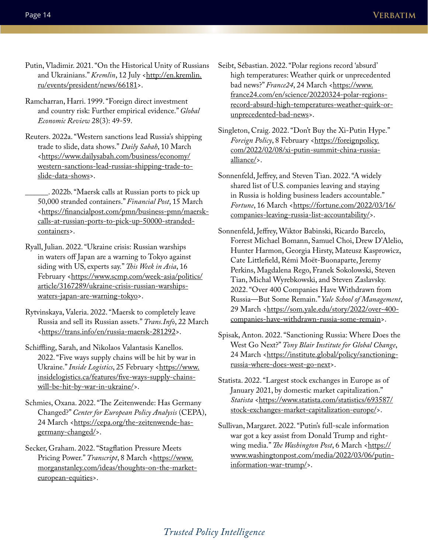- Putin, Vladimir. 2021. "On the Historical Unity of Russians and Ukrainians." *Kremlin*, 12 July [<http://en.kremlin.](http://en.kremlin.ru/events/president/news/66181) [ru/events/president/news/66181>](http://en.kremlin.ru/events/president/news/66181).
- Ramcharran, Harri. 1999. "Foreign direct investment and country risk: Further empirical evidence." *Global Economic Review* 28(3): 49-59.
- Reuters. 2022a. "Western sanctions lead Russia's shipping trade to slide, data shows." *Daily Sabah*, 10 March <[https://www.dailysabah.com/business/economy/](https://www.dailysabah.com/business/economy/western-sanctions-lead-russias-shipping-trade-to-slide-data-shows) [western-sanctions-lead-russias-shipping-trade-to](https://www.dailysabah.com/business/economy/western-sanctions-lead-russias-shipping-trade-to-slide-data-shows)[slide-data-shows](https://www.dailysabah.com/business/economy/western-sanctions-lead-russias-shipping-trade-to-slide-data-shows)>.

\_\_\_\_\_\_. 2022b. "Maersk calls at Russian ports to pick up 50,000 stranded containers." *Financial Post*, 15 March <[https://financialpost.com/pmn/business-pmn/maersk](https://financialpost.com/pmn/business-pmn/maersk-calls-at-russian-ports-to-pick-up-50000-stranded-containers)[calls-at-russian-ports-to-pick-up-50000-stranded](https://financialpost.com/pmn/business-pmn/maersk-calls-at-russian-ports-to-pick-up-50000-stranded-containers)[containers](https://financialpost.com/pmn/business-pmn/maersk-calls-at-russian-ports-to-pick-up-50000-stranded-containers)>.

- Ryall, Julian. 2022. "Ukraine crisis: Russian warships in waters off Japan are a warning to Tokyo against siding with US, experts say." *This Week in Asia*, 16 February <[https://www.scmp.com/week-asia/politics/](https://www.scmp.com/week-asia/politics/article/3167289/ukraine-crisis-russian-warships-waters-japan-are-warning-tokyo) [article/3167289/ukraine-crisis-russian-warships](https://www.scmp.com/week-asia/politics/article/3167289/ukraine-crisis-russian-warships-waters-japan-are-warning-tokyo)[waters-japan-are-warning-tokyo](https://www.scmp.com/week-asia/politics/article/3167289/ukraine-crisis-russian-warships-waters-japan-are-warning-tokyo)>.
- Rytvinskaya, Valeria. 2022. "Maersk to completely leave Russia and sell its Russian assets." *Trans.Info*, 22 March <<https://trans.info/en/russia-maersk-281292>>.
- Schiffling, Sarah, and Nikolaos Valantasis Kanellos. 2022. "Five ways supply chains will be hit by war in Ukraine." Inside Logistics, 25 February <[https://www.](https://www.insidelogistics.ca/features/five-ways-supply-chains-will-be-hit-by-war-in-ukraine/) [insidelogistics.ca/features/five-ways-supply-chains](https://www.insidelogistics.ca/features/five-ways-supply-chains-will-be-hit-by-war-in-ukraine/)[will-be-hit-by-war-in-ukraine/](https://www.insidelogistics.ca/features/five-ways-supply-chains-will-be-hit-by-war-in-ukraine/)>.
- Schmies, Oxana. 2022. "The Zeitenwende: Has Germany Changed?" *Center for European Policy Analysis* (CEPA), 24 March <[https://cepa.org/the-zeitenwende-has](https://cepa.org/the-zeitenwende-has-germany-changed/)[germany-changed/>](https://cepa.org/the-zeitenwende-has-germany-changed/).
- Secker, Graham. 2022. "Stagflation Pressure Meets Pricing Power." *Transcript*, 8 March <[https://www.](https://www.morganstanley.com/ideas/thoughts-on-the-market-european-equities) [morganstanley.com/ideas/thoughts-on-the-market](https://www.morganstanley.com/ideas/thoughts-on-the-market-european-equities)[european-equities>](https://www.morganstanley.com/ideas/thoughts-on-the-market-european-equities).
- Seibt, Sébastian. 2022. "Polar regions record 'absurd' high temperatures: Weather quirk or unprecedented bad news?" *France24*, 24 March [<https://www.](https://www.france24.com/en/science/20220324-polar-regions-record-absurd-high-temperatures-weather-quirk-or-unprecedented-bad-news) [france24.com/en/science/20220324-polar-regions](https://www.france24.com/en/science/20220324-polar-regions-record-absurd-high-temperatures-weather-quirk-or-unprecedented-bad-news)[record-absurd-high-temperatures-weather-quirk-or](https://www.france24.com/en/science/20220324-polar-regions-record-absurd-high-temperatures-weather-quirk-or-unprecedented-bad-news)[unprecedented-bad-news>](https://www.france24.com/en/science/20220324-polar-regions-record-absurd-high-temperatures-weather-quirk-or-unprecedented-bad-news).
- Singleton, Craig. 2022. "Don't Buy the Xi-Putin Hype." Foreign Policy, 8 February <[https://foreignpolicy.](https://foreignpolicy.com/2022/02/08/xi-putin-summit-china-russia-alliance/) [com/2022/02/08/xi-putin-summit-china-russia](https://foreignpolicy.com/2022/02/08/xi-putin-summit-china-russia-alliance/)[alliance/>](https://foreignpolicy.com/2022/02/08/xi-putin-summit-china-russia-alliance/).
- Sonnenfeld, Jeffrey, and Steven Tian. 2022. "A widely shared list of U.S. companies leaving and staying in Russia is holding business leaders accountable." *Fortune*, 16 March <[https://fortune.com/2022/03/16/](https://fortune.com/2022/03/16/companies-leaving-russia-list-accountability/) [companies-leaving-russia-list-accountability/>](https://fortune.com/2022/03/16/companies-leaving-russia-list-accountability/).
- Sonnenfeld, Jeffrey, Wiktor Babinski, Ricardo Barcelo, Forrest Michael Bomann, Samuel Choi, Drew D'Alelio, Hunter Harmon, Georgia Hirsty, Mateusz Kasprowicz, Cate Littlefield, Rémi Moët-Buonaparte, Jeremy Perkins, Magdalena Rego, Franek Sokolowski, Steven Tian, Michal Wyrebkowski, and Steven Zaslavsky. 2022. "Over 400 Companies Have Withdrawn from Russia—But Some Remain." *Yale School of Management*, 29 March <[https://som.yale.edu/story/2022/over-400](https://som.yale.edu/story/2022/over-400-companies-have-withdrawn-russia-some-remain) [companies-have-withdrawn-russia-some-remain>](https://som.yale.edu/story/2022/over-400-companies-have-withdrawn-russia-some-remain).
- Spisak, Anton. 2022. "Sanctioning Russia: Where Does the West Go Next?" *Tony Blair Institute for Global Change*, 24 March <[https://institute.global/policy/sanctioning](https://institute.global/policy/sanctioning-russia-where-does-west-go-next)[russia-where-does-west-go-next>](https://institute.global/policy/sanctioning-russia-where-does-west-go-next).
- Statista. 2022. "Largest stock exchanges in Europe as of January 2021, by domestic market capitalization." *Statista* [<https://www.statista.com/statistics/693587/](https://www.statista.com/statistics/693587/stock-exchanges-market-capitalization-europe/) [stock-exchanges-market-capitalization-europe/>](https://www.statista.com/statistics/693587/stock-exchanges-market-capitalization-europe/).
- Sullivan, Margaret. 2022. "Putin's full-scale information war got a key assist from Donald Trump and right-wing media." The Washington Post, 6 March [<https://](https://www.washingtonpost.com/media/2022/03/06/putin-information-war-trump/) [www.washingtonpost.com/media/2022/03/06/putin](https://www.washingtonpost.com/media/2022/03/06/putin-information-war-trump/)[information-war-trump/](https://www.washingtonpost.com/media/2022/03/06/putin-information-war-trump/)>.